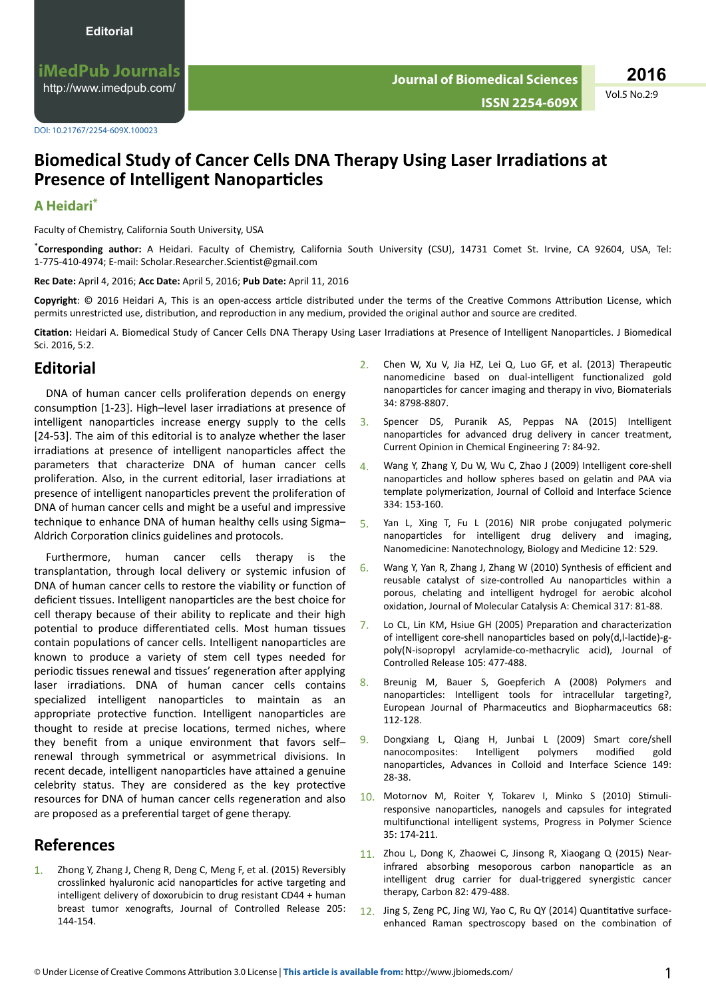iMedPub Journals http://www.imedpub.com/

2016 Vol.5 No.2:9

DOI: 10.21767/2254-609X.100023

## Biomedical Study of Cancer Cells DNA Therapy Using Laser Irradiations at **Presence of Intelligent Nanoparticles**

## A Heidari\*

Faculty of Chemistry, California South University, USA

\*Corresponding author: A Heidari. Faculty of Chemistry, California South University (CSU), 14731 Comet St. Irvine, CA 92604, USA, Tel: 1-775-410-4974; E-mail: Scholar.Researcher.Scientist@gmail.com

Rec Date: April 4, 2016; Acc Date: April 5, 2016; Pub Date: April 11, 2016

Copyright: © 2016 Heidari A, This is an open-access article distributed under the terms of the Creative Commons Attribution License, which permits unrestricted use, distribution, and reproduction in any medium, provided the original author and source are credited.

Citation: Heidari A. Biomedical Study of Cancer Cells DNA Therapy Using Laser Irradiations at Presence of Intelligent Nanoparticles. J Biomedical Sci. 2016, 5:2.

## **Editorial**

DNA of human cancer cells proliferation depends on energy consumption [1-23]. High-level laser irradiations at presence of intelligent nanoparticles increase energy supply to the cells [24-53]. The aim of this editorial is to analyze whether the laser irradiations at presence of intelligent nanoparticles affect the parameters that characterize DNA of human cancer cells proliferation. Also, in the current editorial, laser irradiations at presence of intelligent nanoparticles prevent the proliferation of DNA of human cancer cells and might be a useful and impressive technique to enhance DNA of human healthy cells using Sigma-Aldrich Corporation clinics guidelines and protocols.

Furthermore, human cancer cells therapy is the transplantation, through local delivery or systemic infusion of DNA of human cancer cells to restore the viability or function of deficient tissues. Intelligent nanoparticles are the best choice for cell therapy because of their ability to replicate and their high potential to produce differentiated cells. Most human tissues contain populations of cancer cells. Intelligent nanoparticles are known to produce a variety of stem cell types needed for periodic tissues renewal and tissues' regeneration after applying laser irradiations. DNA of human cancer cells contains specialized intelligent nanoparticles to maintain as an appropriate protective function. Intelligent nanoparticles are thought to reside at precise locations, termed niches, where they benefit from a unique environment that favors selfrenewal through symmetrical or asymmetrical divisions. In recent decade, intelligent nanoparticles have attained a genuine celebrity status. They are considered as the key protective resources for DNA of human cancer cells regeneration and also are proposed as a preferential target of gene therapy.

## **References**

 $1<sup>1</sup>$ Zhong Y, Zhang J, Cheng R, Deng C, Meng F, et al. (2015) Reversibly crosslinked hyaluronic acid nanoparticles for active targeting and intelligent delivery of doxorubicin to drug resistant CD44 + human breast tumor xenografts, Journal of Controlled Release 205: 144-154

- Chen W, Xu V, Jia HZ, Lei Q, Luo GF, et al. (2013) Therapeutic  $2<sup>1</sup>$ nanomedicine based on dual-intelligent functionalized gold nanoparticles for cancer imaging and therapy in vivo, Biomaterials 34:8798-8807.
- Spencer DS, Puranik AS, Peppas NA (2015) Intelligent  $3.$ nanoparticles for advanced drug delivery in cancer treatment, Current Opinion in Chemical Engineering 7: 84-92.
- $\mathbf{\Lambda}$ Wang Y, Zhang Y, Du W, Wu C, Zhao J (2009) Intelligent core-shell nanoparticles and hollow spheres based on gelatin and PAA via template polymerization, Journal of Colloid and Interface Science 334: 153-160.
- 5. Yan L, Xing T, Fu L (2016) NIR probe conjugated polymeric nanoparticles for intelligent drug delivery and imaging, Nanomedicine: Nanotechnology, Biology and Medicine 12: 529.
- Wang Y, Yan R, Zhang J, Zhang W (2010) Synthesis of efficient and 6 reusable catalyst of size-controlled Au nanoparticles within a porous, chelating and intelligent hydrogel for aerobic alcohol oxidation, Journal of Molecular Catalysis A: Chemical 317: 81-88.
- Lo CL, Lin KM, Hsiue GH (2005) Preparation and characterization  $7<sub>1</sub>$ of intelligent core-shell nanoparticles based on poly(d,l-lactide)-gpoly(N-isopropyl acrylamide-co-methacrylic acid), Journal of Controlled Release 105: 477-488.
- Breunig M, Bauer S, Goepferich A (2008) Polymers and 8. nanoparticles: Intelligent tools for intracellular targeting?, European Journal of Pharmaceutics and Biopharmaceutics 68: 112-128.
- Dongxiang L, Qiang H, Junbai L (2009) Smart core/shell  $\mathbf{q}$ nanocomposites: Intelligent polymers modified gold nanoparticles, Advances in Colloid and Interface Science 149: 28-38.
- Motornov M, Roiter Y, Tokarev I, Minko S (2010) Stimuli- $10<sup>-1</sup>$ responsive nanoparticles, nanogels and capsules for integrated multifunctional intelligent systems, Progress in Polymer Science 35: 174-211.
- 11. Zhou L, Dong K, Zhaowei C, Jinsong R, Xiaogang Q (2015) Nearinfrared absorbing mesoporous carbon nanoparticle as an intelligent drug carrier for dual-triggered synergistic cancer therapy, Carbon 82: 479-488.
- 12. Jing S, Zeng PC, Jing WJ, Yao C, Ru QY (2014) Quantitative surfaceenhanced Raman spectroscopy based on the combination of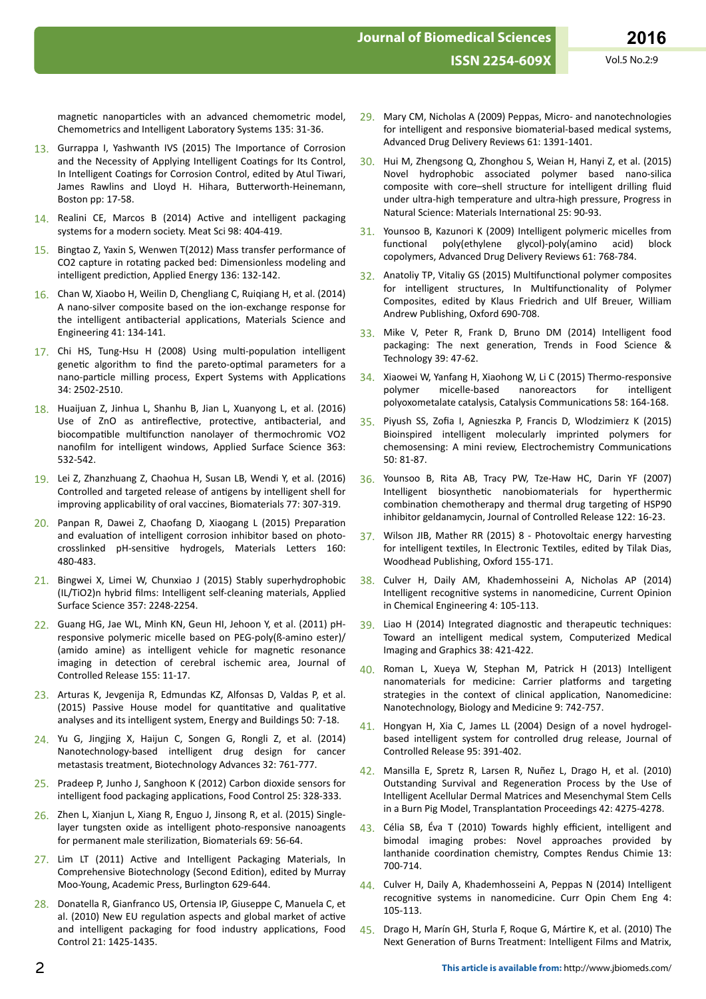magnetic nanoparticles with an advanced chemometric model, Chemometrics and Intelligent Laboratory Systems 135: 31-36.

- 13. Gurrappa I, Yashwanth IVS (2015) The Importance of Corrosion and the Necessity of Applying Intelligent Coatings for Its Control, In Intelligent Coatings for Corrosion Control, edited by Atul Tiwari, James Rawlins and Lloyd H. Hihara, Butterworth-Heinemann, Boston pp: 17-58.
- 14. Realini CE, Marcos B (2014) Active and intelligent packaging systems for a modern society. Meat Sci 98: 404-419.
- 15. Bingtao Z, Yaxin S, Wenwen T(2012) Mass transfer performance of CO2 capture in rotating packed bed: Dimensionless modeling and intelligent prediction, Applied Energy 136: 132-142.
- 16. Chan W, Xiaobo H, Weilin D, Chengliang C, Ruiqiang H, et al. (2014) A nano-silver composite based on the ion-exchange response for the intelligent antibacterial applications. Materials Science and Engineering 41: 134-141.
- 17. Chi HS, Tung-Hsu H (2008) Using multi-population intelligent genetic algorithm to find the pareto-optimal parameters for a nano-particle milling process, Expert Systems with Applications 34: 2502-2510.
- 18. Huaijuan Z, Jinhua L, Shanhu B, Jian L, Xuanyong L, et al. (2016) Use of ZnO as antireflective, protective, antibacterial, and biocompatible multifunction nanolayer of thermochromic VO2 nanofilm for intelligent windows, Applied Surface Science 363: 532-542.
- 19. Lei Z, Zhanzhuang Z, Chaohua H, Susan LB, Wendi Y, et al. (2016) Controlled and targeted release of antigens by intelligent shell for improving applicability of oral vaccines, Biomaterials 77: 307-319.
- 20. Panpan R, Dawei Z, Chaofang D, Xiaogang L (2015) Preparation and evaluation of intelligent corrosion inhibitor based on photocrosslinked pH-sensitive hydrogels, Materials Letters 160: 480-483.
- 21. Bingwei X, Limei W, Chunxiao J (2015) Stably superhydrophobic (IL/TiO2)n hybrid films: Intelligent self-cleaning materials. Applied Surface Science 357: 2248-2254.
- 22. Guang HG, Jae WL, Minh KN, Geun HI, Jehoon Y, et al. (2011) pHresponsive polymeric micelle based on PEG-poly(ß-amino ester)/ (amido amine) as intelligent vehicle for magnetic resonance imaging in detection of cerebral ischemic area, Journal of Controlled Release 155: 11-17.
- 23. Arturas K, Jevgenija R, Edmundas KZ, Alfonsas D, Valdas P, et al. (2015) Passive House model for quantitative and qualitative analyses and its intelligent system, Energy and Buildings 50: 7-18.
- 24. Yu G, Jingjing X, Haijun C, Songen G, Rongli Z, et al. (2014) Nanotechnology-based intelligent drug design for cancer metastasis treatment, Biotechnology Advances 32: 761-777.
- 25. Pradeep P, Junho J, Sanghoon K (2012) Carbon dioxide sensors for intelligent food packaging applications, Food Control 25: 328-333.
- 26. Zhen L, Xianjun L, Xiang R, Enguo J, Jinsong R, et al. (2015) Singlelayer tungsten oxide as intelligent photo-responsive nanoagents for permanent male sterilization, Biomaterials 69: 56-64.
- 27. Lim LT (2011) Active and Intelligent Packaging Materials, In Comprehensive Biotechnology (Second Edition), edited by Murray Moo-Young, Academic Press, Burlington 629-644.
- 28. Donatella R, Gianfranco US, Ortensia IP, Giuseppe C, Manuela C, et al. (2010) New EU regulation aspects and global market of active and intelligent packaging for food industry applications, Food Control 21: 1425-1435.
- Mary CM, Nicholas A (2009) Peppas, Micro- and nanotechnologies  $29$ for intelligent and responsive biomaterial-based medical systems, Advanced Drug Delivery Reviews 61: 1391-1401.
- 30. Hui M, Zhengsong Q, Zhonghou S, Weian H, Hanyi Z, et al. (2015) Novel hydrophobic associated polymer based nano-silica composite with core-shell structure for intelligent drilling fluid under ultra-high temperature and ultra-high pressure, Progress in Natural Science: Materials International 25: 90-93.
- 31. Younsoo B, Kazunori K (2009) Intelligent polymeric micelles from poly(ethylene functional glycol)-poly(amino acid) hlock copolymers. Advanced Drug Delivery Reviews 61: 768-784.
- 32. Anatoliy TP, Vitaliy GS (2015) Multifunctional polymer composites for intelligent structures, In Multifunctionality of Polymer Composites, edited by Klaus Friedrich and Ulf Breuer, William Andrew Publishing, Oxford 690-708.
- 33. Mike V, Peter R, Frank D, Bruno DM (2014) Intelligent food packaging: The next generation, Trends in Food Science & Technology 39: 47-62.
- 34. Xiaowei W, Yanfang H, Xiaohong W, Li C (2015) Thermo-responsive polymer micelle-based nanoreactors for intelligent polyoxometalate catalysis, Catalysis Communications 58: 164-168.
- Piyush SS, Zofia I, Agnieszka P, Francis D, Wlodzimierz K (2015) Bioinspired intelligent molecularly imprinted polymers for chemosensing: A mini review, Electrochemistry Communications 50: 81-87.
- $36<sup>2</sup>$ Younsoo B, Rita AB, Tracy PW, Tze-Haw HC, Darin YF (2007) Intelligent biosynthetic nanobiomaterials for hyperthermic combination chemotherapy and thermal drug targeting of HSP90 inhibitor geldanamycin, Journal of Controlled Release 122: 16-23.
- 37. Wilson JIB, Mather RR (2015) 8 Photovoltaic energy harvesting for intelligent textiles, In Electronic Textiles, edited by Tilak Dias, Woodhead Publishing, Oxford 155-171.
- Culver H, Daily AM, Khademhosseini A, Nicholas AP (2014) 38 Intelligent recognitive systems in nanomedicine, Current Opinion in Chemical Engineering 4: 105-113.
- 39. Liao H (2014) Integrated diagnostic and therapeutic techniques: Toward an intelligent medical system, Computerized Medical Imaging and Graphics 38: 421-422.
- 40. Roman L, Xueya W, Stephan M, Patrick H (2013) Intelligent nanomaterials for medicine: Carrier platforms and targeting strategies in the context of clinical application, Nanomedicine: Nanotechnology, Biology and Medicine 9: 742-757.
- 41. Hongyan H, Xia C, James LL (2004) Design of a novel hydrogelbased intelligent system for controlled drug release, Journal of Controlled Release 95: 391-402.
- 42. Mansilla E, Spretz R, Larsen R, Nuñez L, Drago H, et al. (2010) Outstanding Survival and Regeneration Process by the Use of Intelligent Acellular Dermal Matrices and Mesenchymal Stem Cells in a Burn Pig Model, Transplantation Proceedings 42: 4275-4278.
- 43. Célia SB, Éva T (2010) Towards highly efficient, intelligent and bimodal imaging probes: Novel approaches provided by lanthanide coordination chemistry, Comptes Rendus Chimie 13: 700-714.
- 44. Culver H, Daily A, Khademhosseini A, Peppas N (2014) Intelligent recognitive systems in nanomedicine. Curr Opin Chem Eng 4: 105-113.
- 45. Drago H, Marín GH, Sturla F, Roque G, Mártire K, et al. (2010) The Next Generation of Burns Treatment: Intelligent Films and Matrix,